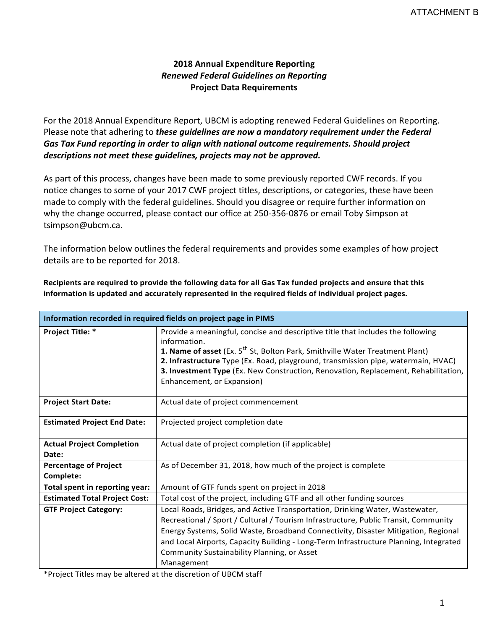# **2018 Annual Expenditure Reporting** *Renewed Federal Guidelines on Reporting*  **Project Data Requirements**

For the 2018 Annual Expenditure Report, UBCM is adopting renewed Federal Guidelines on Reporting. Please note that adhering to *these guidelines are now a mandatory requirement under the Federal* Gas Tax Fund reporting in order to align with national outcome *requirements.* Should project descriptions not meet these guidelines, projects may not be approved.

As part of this process, changes have been made to some previously reported CWF records. If you notice changes to some of your 2017 CWF project titles, descriptions, or categories, these have been made to comply with the federal guidelines. Should you disagree or require further information on why the change occurred, please contact our office at 250-356-0876 or email Toby Simpson at tsimpson@ubcm.ca.

The information below outlines the federal requirements and provides some examples of how project details are to be reported for 2018.

| Information recorded in required fields on project page in PIMS |                                                                                                                                                                                                                                                                                                                                                                                                                 |
|-----------------------------------------------------------------|-----------------------------------------------------------------------------------------------------------------------------------------------------------------------------------------------------------------------------------------------------------------------------------------------------------------------------------------------------------------------------------------------------------------|
| Project Title: *                                                | Provide a meaningful, concise and descriptive title that includes the following<br>information.<br>1. Name of asset (Ex. 5 <sup>th</sup> St, Bolton Park, Smithville Water Treatment Plant)<br>2. Infrastructure Type (Ex. Road, playground, transmission pipe, watermain, HVAC)<br>3. Investment Type (Ex. New Construction, Renovation, Replacement, Rehabilitation,<br>Enhancement, or Expansion)            |
| <b>Project Start Date:</b>                                      | Actual date of project commencement                                                                                                                                                                                                                                                                                                                                                                             |
| <b>Estimated Project End Date:</b>                              | Projected project completion date                                                                                                                                                                                                                                                                                                                                                                               |
| <b>Actual Project Completion</b><br>Date:                       | Actual date of project completion (if applicable)                                                                                                                                                                                                                                                                                                                                                               |
| <b>Percentage of Project</b><br>Complete:                       | As of December 31, 2018, how much of the project is complete                                                                                                                                                                                                                                                                                                                                                    |
| Total spent in reporting year:                                  | Amount of GTF funds spent on project in 2018                                                                                                                                                                                                                                                                                                                                                                    |
| <b>Estimated Total Project Cost:</b>                            | Total cost of the project, including GTF and all other funding sources                                                                                                                                                                                                                                                                                                                                          |
| <b>GTF Project Category:</b>                                    | Local Roads, Bridges, and Active Transportation, Drinking Water, Wastewater,<br>Recreational / Sport / Cultural / Tourism Infrastructure, Public Transit, Community<br>Energy Systems, Solid Waste, Broadband Connectivity, Disaster Mitigation, Regional<br>and Local Airports, Capacity Building - Long-Term Infrastructure Planning, Integrated<br>Community Sustainability Planning, or Asset<br>Management |

Recipients are required to provide the following data for all Gas Tax funded projects and ensure that this information is updated and accurately represented in the required fields of individual project pages.

\*Project Titles may be altered at the discretion of UBCM staff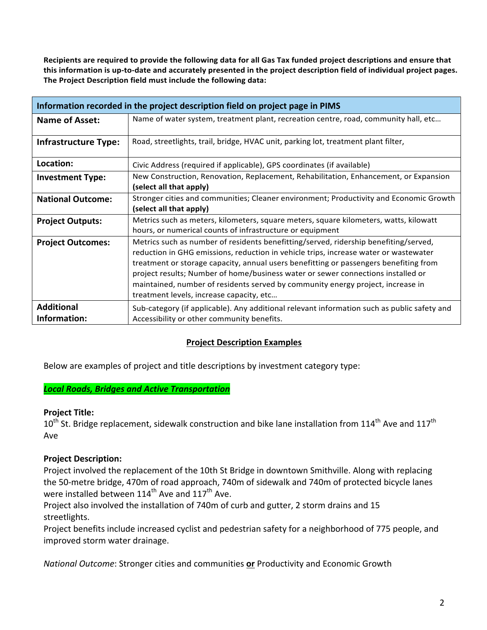Recipients are required to provide the following data for all Gas Tax funded project descriptions and ensure that this information is up-to-date and accurately presented in the project description field of individual project pages. The Project Description field must include the following data:

| Information recorded in the project description field on project page in PIMS |                                                                                                                                                                                                                                                                                                                                                                                                                                                                                          |
|-------------------------------------------------------------------------------|------------------------------------------------------------------------------------------------------------------------------------------------------------------------------------------------------------------------------------------------------------------------------------------------------------------------------------------------------------------------------------------------------------------------------------------------------------------------------------------|
| <b>Name of Asset:</b>                                                         | Name of water system, treatment plant, recreation centre, road, community hall, etc                                                                                                                                                                                                                                                                                                                                                                                                      |
| <b>Infrastructure Type:</b>                                                   | Road, streetlights, trail, bridge, HVAC unit, parking lot, treatment plant filter,                                                                                                                                                                                                                                                                                                                                                                                                       |
| Location:                                                                     | Civic Address (required if applicable), GPS coordinates (if available)                                                                                                                                                                                                                                                                                                                                                                                                                   |
| <b>Investment Type:</b>                                                       | New Construction, Renovation, Replacement, Rehabilitation, Enhancement, or Expansion<br>(select all that apply)                                                                                                                                                                                                                                                                                                                                                                          |
| <b>National Outcome:</b>                                                      | Stronger cities and communities; Cleaner environment; Productivity and Economic Growth<br>(select all that apply)                                                                                                                                                                                                                                                                                                                                                                        |
| <b>Project Outputs:</b>                                                       | Metrics such as meters, kilometers, square meters, square kilometers, watts, kilowatt<br>hours, or numerical counts of infrastructure or equipment                                                                                                                                                                                                                                                                                                                                       |
| <b>Project Outcomes:</b>                                                      | Metrics such as number of residents benefitting/served, ridership benefiting/served,<br>reduction in GHG emissions, reduction in vehicle trips, increase water or wastewater<br>treatment or storage capacity, annual users benefitting or passengers benefiting from<br>project results; Number of home/business water or sewer connections installed or<br>maintained, number of residents served by community energy project, increase in<br>treatment levels, increase capacity, etc |
| <b>Additional</b><br>Information:                                             | Sub-category (if applicable). Any additional relevant information such as public safety and<br>Accessibility or other community benefits.                                                                                                                                                                                                                                                                                                                                                |

# **Project Description Examples**

Below are examples of project and title descriptions by investment category type:

### *Local Roads, Bridges and Active Transportation*

### **Project Title:**

 $10^{\text{th}}$  St. Bridge replacement, sidewalk construction and bike lane installation from  $114^{\text{th}}$  Ave and  $117^{\text{th}}$ Ave

# **Project Description:**

Project involved the replacement of the 10th St Bridge in downtown Smithville. Along with replacing the 50-metre bridge, 470m of road approach, 740m of sidewalk and 740m of protected bicycle lanes were installed between  $114^{\text{th}}$  Ave and  $117^{\text{th}}$  Ave.

Project also involved the installation of 740m of curb and gutter, 2 storm drains and 15 streetlights.

Project benefits include increased cyclist and pedestrian safety for a neighborhood of 775 people, and improved storm water drainage.

*National Outcome*: Stronger cities and communities or Productivity and Economic Growth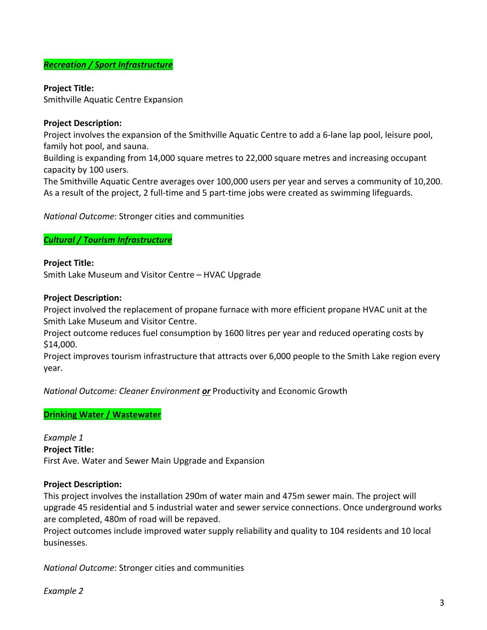### *Recreation / Sport Infrastructure*

## **Project Title:**

Smithville Aquatic Centre Expansion

## **Project Description:**

Project involves the expansion of the Smithville Aquatic Centre to add a 6-lane lap pool, leisure pool, family hot pool, and sauna.

Building is expanding from 14,000 square metres to 22,000 square metres and increasing occupant capacity by 100 users.

The Smithville Aquatic Centre averages over 100,000 users per year and serves a community of 10,200. As a result of the project, 2 full-time and 5 part-time jobs were created as swimming lifeguards.

*National Outcome: Stronger cities and communities* 

## *Cultural / Tourism Infrastructure*

## **Project Title:**

Smith Lake Museum and Visitor Centre - HVAC Upgrade

### **Project Description:**

Project involved the replacement of propane furnace with more efficient propane HVAC unit at the Smith Lake Museum and Visitor Centre.

Project outcome reduces fuel consumption by 1600 litres per year and reduced operating costs by \$14,000.

Project improves tourism infrastructure that attracts over 6,000 people to the Smith Lake region every year.

*National Outcome: Cleaner Environment or Productivity* and Economic Growth

# **Drinking Water / Wastewater**

*Example 1* **Project Title:** First Ave. Water and Sewer Main Upgrade and Expansion

### **Project Description:**

This project involves the installation 290m of water main and 475m sewer main. The project will upgrade 45 residential and 5 industrial water and sewer service connections. Once underground works are completed, 480m of road will be repaved.

Project outcomes include improved water supply reliability and quality to 104 residents and 10 local businesses.

*National Outcome: Stronger cities and communities* 

*Example 2*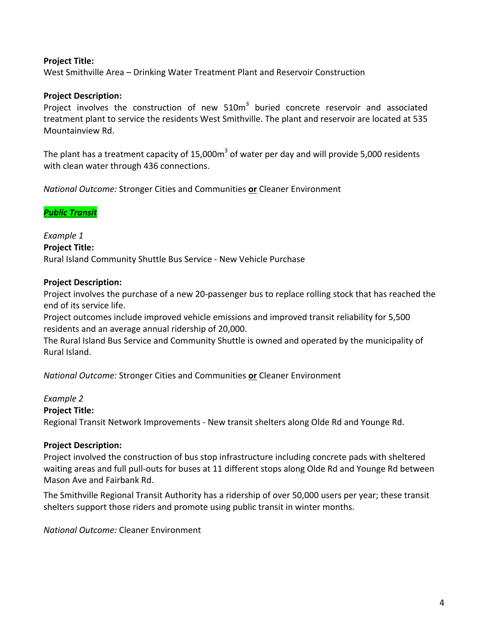## **Project Title:**

West Smithville Area – Drinking Water Treatment Plant and Reservoir Construction

### **Project Description:**

Project involves the construction of new  $510m<sup>3</sup>$  buried concrete reservoir and associated treatment plant to service the residents West Smithville. The plant and reservoir are located at 535 Mountainview Rd.

The plant has a treatment capacity of 15,000m<sup>3</sup> of water per day and will provide 5,000 residents with clean water through 436 connections.

*National Outcome:* Stronger Cities and Communities or Cleaner Environment

## *Public Transit*

*Example 1* **Project Title:** Rural Island Community Shuttle Bus Service - New Vehicle Purchase

### **Project Description:**

Project involves the purchase of a new 20-passenger bus to replace rolling stock that has reached the end of its service life.

Project outcomes include improved vehicle emissions and improved transit reliability for 5,500 residents and an average annual ridership of 20,000.

The Rural Island Bus Service and Community Shuttle is owned and operated by the municipality of Rural Island.

*National Outcome:* Stronger Cities and Communities or Cleaner Environment

*Example 2*

### **Project Title:**

Regional Transit Network Improvements - New transit shelters along Olde Rd and Younge Rd.

### **Project Description:**

Project involved the construction of bus stop infrastructure including concrete pads with sheltered waiting areas and full pull-outs for buses at 11 different stops along Olde Rd and Younge Rd between Mason Ave and Fairbank Rd.

The Smithville Regional Transit Authority has a ridership of over 50,000 users per year; these transit shelters support those riders and promote using public transit in winter months.

*National Outcome:* Cleaner Environment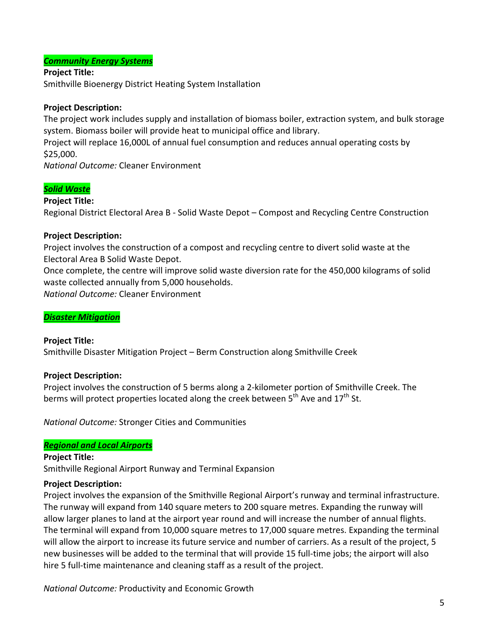# *Community Energy Systems*

**Project Title:** Smithville Bioenergy District Heating System Installation

## **Project Description:**

The project work includes supply and installation of biomass boiler, extraction system, and bulk storage system. Biomass boiler will provide heat to municipal office and library.

Project will replace 16,000L of annual fuel consumption and reduces annual operating costs by \$25,000.

*National Outcome:* Cleaner Environment

# *Solid Waste*

**Project Title:** Regional District Electoral Area B - Solid Waste Depot – Compost and Recycling Centre Construction

## **Project Description:**

Project involves the construction of a compost and recycling centre to divert solid waste at the Electoral Area B Solid Waste Depot.

Once complete, the centre will improve solid waste diversion rate for the 450,000 kilograms of solid waste collected annually from 5,000 households.

*National Outcome:* Cleaner Environment

### *Disaster Mitigation*

# **Project Title:**

Smithville Disaster Mitigation Project – Berm Construction along Smithville Creek

# **Project Description:**

Project involves the construction of 5 berms along a 2-kilometer portion of Smithville Creek. The berms will protect properties located along the creek between  $5^{th}$  Ave and  $17^{th}$  St.

**National Outcome: Stronger Cities and Communities** 

### *Regional and Local Airports*

**Project Title:** Smithville Regional Airport Runway and Terminal Expansion

# **Project Description:**

Project involves the expansion of the Smithville Regional Airport's runway and terminal infrastructure. The runway will expand from 140 square meters to 200 square metres. Expanding the runway will allow larger planes to land at the airport year round and will increase the number of annual flights. The terminal will expand from 10,000 square metres to 17,000 square metres. Expanding the terminal will allow the airport to increase its future service and number of carriers. As a result of the project, 5 new businesses will be added to the terminal that will provide 15 full-time jobs; the airport will also hire 5 full-time maintenance and cleaning staff as a result of the project.

*National Outcome:* Productivity and Economic Growth